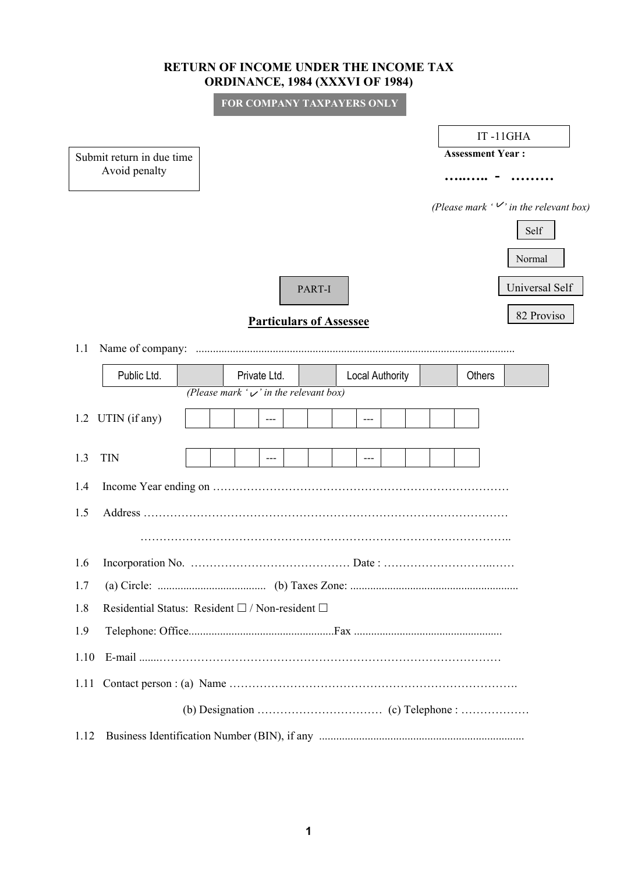## **RETURN OF INCOME UNDER THE INCOME TAX ORDINANCE, 1984 (XXXVI OF 1984)**

**FOR COMPANY TAXPAYERS ONLY**

|                                                        | IT-11GHA                                       |
|--------------------------------------------------------|------------------------------------------------|
| Submit return in due time                              | <b>Assessment Year:</b>                        |
| Avoid penalty                                          |                                                |
|                                                        | (Please mark $\cdot \vee$ in the relevant box) |
|                                                        | Self                                           |
|                                                        | Normal                                         |
| PART-I                                                 | Universal Self                                 |
| <b>Particulars of Assessee</b>                         | 82 Proviso                                     |
| 1.1                                                    |                                                |
| Public Ltd.<br>Private Ltd.<br><b>Local Authority</b>  | Others                                         |
| (Please mark ' $\vee$ ' in the relevant box)           |                                                |
| 1.2 UTIN (if any)<br>$---$<br>$---$                    |                                                |
| <b>TIN</b><br>1.3<br>$---$<br>$---$                    |                                                |
| 1.4                                                    |                                                |
| 1.5                                                    |                                                |
|                                                        |                                                |
| 1.6                                                    |                                                |
| 1.7                                                    |                                                |
| Residential Status: Resident □ / Non-resident □<br>1.8 |                                                |
| 1.9                                                    |                                                |
| 1.10                                                   |                                                |
| 1.11                                                   |                                                |
|                                                        |                                                |
| 1.12                                                   |                                                |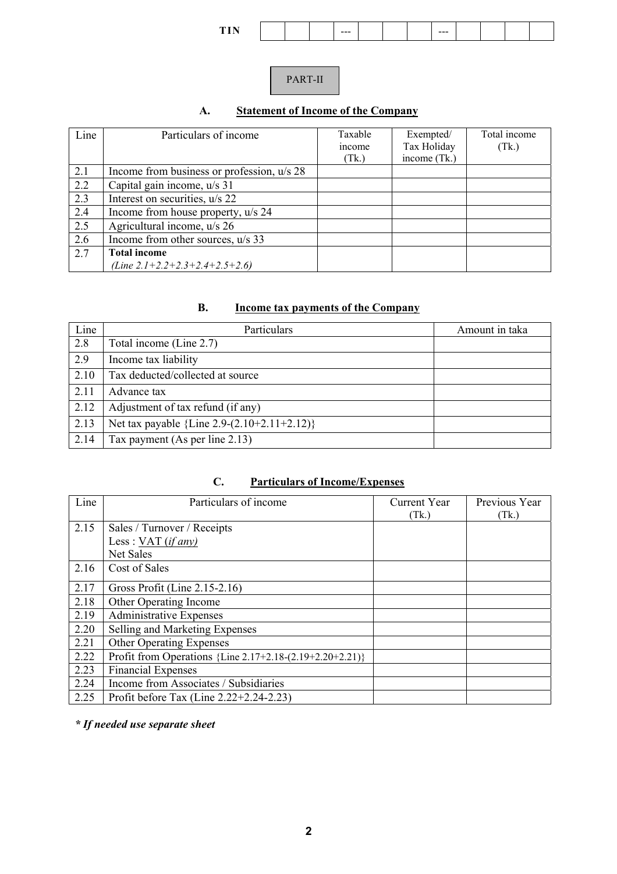| man i<br>---<br>--- |
|---------------------|
|---------------------|

## PART-II

# **A. Statement of Income of the Company**

| Line | Particulars of income                      | Taxable<br>income<br>(Tk) | Exempted/<br>Tax Holiday<br>income (Tk.) | Total income<br>(Tk.) |
|------|--------------------------------------------|---------------------------|------------------------------------------|-----------------------|
| 2.1  | Income from business or profession, u/s 28 |                           |                                          |                       |
| 2.2  | Capital gain income, u/s 31                |                           |                                          |                       |
| 2.3  | Interest on securities, u/s 22             |                           |                                          |                       |
| 2.4  | Income from house property, u/s 24         |                           |                                          |                       |
| 2.5  | Agricultural income, u/s 26                |                           |                                          |                       |
| 2.6  | Income from other sources, u/s 33          |                           |                                          |                       |
| 2.7  | <b>Total income</b>                        |                           |                                          |                       |
|      | (Line $2.1+2.2+2.3+2.4+2.5+2.6$ )          |                           |                                          |                       |

#### **B. Income tax payments of the Company**

| Line | Particulars                                   | Amount in taka |
|------|-----------------------------------------------|----------------|
| 2.8  | Total income (Line 2.7)                       |                |
| 2.9  | Income tax liability                          |                |
| 2.10 | Tax deducted/collected at source              |                |
| 2.11 | Advance tax                                   |                |
| 2.12 | Adjustment of tax refund (if any)             |                |
| 2.13 | Net tax payable ${Line 2.9-(2.10+2.11+2.12)}$ |                |
| 2.14 | Tax payment (As per line 2.13)                |                |

## **C. Particulars of Income/Expenses**

| Line | Particulars of income                                      | Current Year<br>(Tk.) | Previous Year<br>(Tk.) |
|------|------------------------------------------------------------|-----------------------|------------------------|
| 2.15 | Sales / Turnover / Receipts                                |                       |                        |
|      | Less: $VAT (if any)$                                       |                       |                        |
|      | Net Sales                                                  |                       |                        |
| 2.16 | Cost of Sales                                              |                       |                        |
| 2.17 | Gross Profit (Line 2.15-2.16)                              |                       |                        |
| 2.18 | Other Operating Income                                     |                       |                        |
| 2.19 | <b>Administrative Expenses</b>                             |                       |                        |
| 2.20 | Selling and Marketing Expenses                             |                       |                        |
| 2.21 | Other Operating Expenses                                   |                       |                        |
| 2.22 | Profit from Operations ${Line 2.17+2.18-(2.19+2.20+2.21)}$ |                       |                        |
| 2.23 | <b>Financial Expenses</b>                                  |                       |                        |
| 2.24 | Income from Associates / Subsidiaries                      |                       |                        |
| 2.25 | Profit before Tax (Line 2.22+2.24-2.23)                    |                       |                        |

*\* If needed use separate sheet*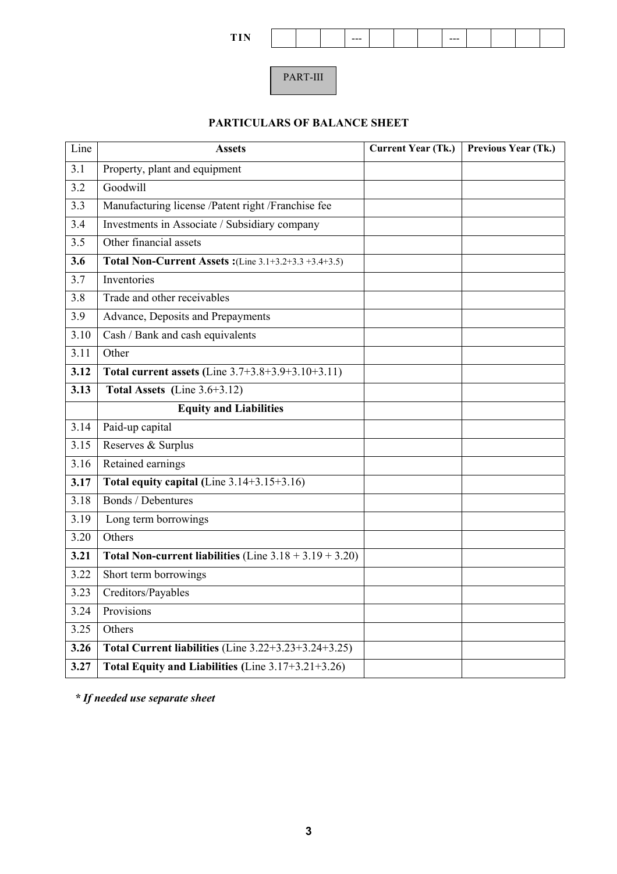PART-III

## **PARTICULARS OF BALANCE SHEET**

| Line             | <b>Assets</b>                                                            | <b>Current Year (Tk.)</b> | Previous Year (Tk.) |
|------------------|--------------------------------------------------------------------------|---------------------------|---------------------|
| 3.1              | Property, plant and equipment                                            |                           |                     |
| 3.2              | Goodwill                                                                 |                           |                     |
| 3.3              | Manufacturing license /Patent right /Franchise fee                       |                           |                     |
| 3.4              | Investments in Associate / Subsidiary company                            |                           |                     |
| 3.5              | Other financial assets                                                   |                           |                     |
| 3.6              | Total Non-Current Assets: (Line 3.1+3.2+3.3 +3.4+3.5)                    |                           |                     |
| 3.7              | Inventories                                                              |                           |                     |
| $\overline{3.8}$ | Trade and other receivables                                              |                           |                     |
| 3.9              | Advance, Deposits and Prepayments                                        |                           |                     |
| 3.10             | Cash / Bank and cash equivalents                                         |                           |                     |
| 3.11             | Other                                                                    |                           |                     |
| 3.12             | Total current assets (Line 3.7+3.8+3.9+3.10+3.11)                        |                           |                     |
| 3.13             | Total Assets (Line $3.6+3.12$ )                                          |                           |                     |
|                  | <b>Equity and Liabilities</b>                                            |                           |                     |
| 3.14             | Paid-up capital                                                          |                           |                     |
| 3.15             | Reserves & Surplus                                                       |                           |                     |
| 3.16             | Retained earnings                                                        |                           |                     |
| 3.17             | Total equity capital (Line $3.14+3.15+3.16$ )                            |                           |                     |
| 3.18             | <b>Bonds</b> / Debentures                                                |                           |                     |
| 3.19             | Long term borrowings                                                     |                           |                     |
| 3.20             | Others                                                                   |                           |                     |
| 3.21             | Total Non-current liabilities (Line $3.18 + 3.19 + 3.20$ )               |                           |                     |
| 3.22             | Short term borrowings                                                    |                           |                     |
| 3.23             | Creditors/Payables                                                       |                           |                     |
| 3.24             | Provisions                                                               |                           |                     |
| 3.25             | Others                                                                   |                           |                     |
| 3.26             | Total Current liabilities $(\overline{\text{Line 3.22+3.23+3.24+3.25}})$ |                           |                     |
| 3.27             | Total Equity and Liabilities (Line 3.17+3.21+3.26)                       |                           |                     |

*\* If needed use separate sheet*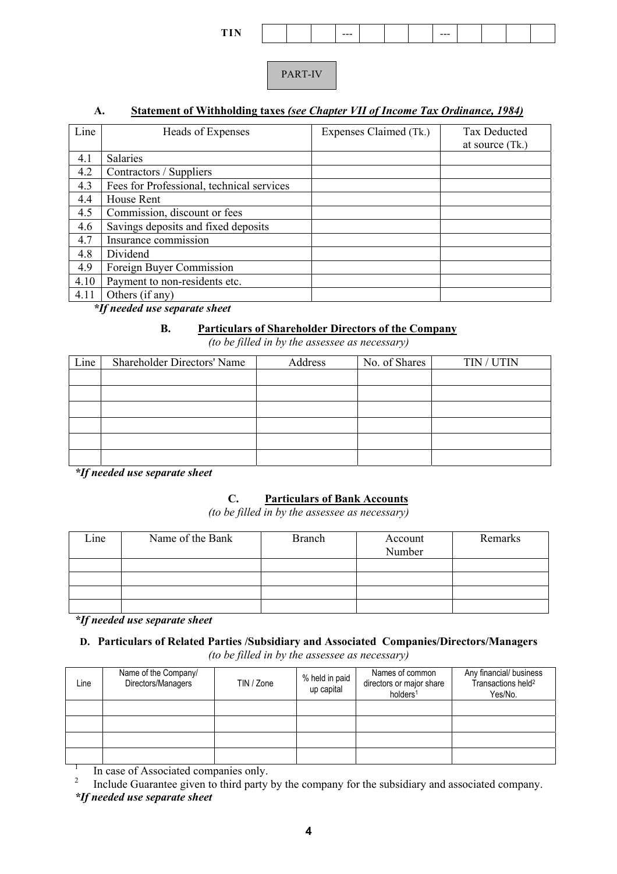| -- |  | --- |  | --- |  |  |
|----|--|-----|--|-----|--|--|
|    |  |     |  |     |  |  |

PART-IV

#### **A. Statement of Withholding taxes** *(see Chapter VII of Income Tax Ordinance, 1984)*

| Line | Heads of Expenses                         | Expenses Claimed (Tk.) | <b>Tax Deducted</b><br>at source (Tk.) |
|------|-------------------------------------------|------------------------|----------------------------------------|
| 4.1  | <b>Salaries</b>                           |                        |                                        |
| 4.2  | Contractors / Suppliers                   |                        |                                        |
| 4.3  | Fees for Professional, technical services |                        |                                        |
| 4.4  | House Rent                                |                        |                                        |
| 4.5  | Commission, discount or fees              |                        |                                        |
| 4.6  | Savings deposits and fixed deposits       |                        |                                        |
| 4.7  | Insurance commission                      |                        |                                        |
| 4.8  | Dividend                                  |                        |                                        |
| 4.9  | Foreign Buyer Commission                  |                        |                                        |
| 4.10 | Payment to non-residents etc.             |                        |                                        |
| 4.11 | Others (if any)                           |                        |                                        |

*\*If needed use separate sheet* 

#### **B. Particulars of Shareholder Directors of the Company**

*(to be filled in by the assessee as necessary)*

| Line | <b>Shareholder Directors' Name</b> | Address | No. of Shares<br>TIN / UTIN |  |  |
|------|------------------------------------|---------|-----------------------------|--|--|
|      |                                    |         |                             |  |  |
|      |                                    |         |                             |  |  |
|      |                                    |         |                             |  |  |
|      |                                    |         |                             |  |  |
|      |                                    |         |                             |  |  |
|      |                                    |         |                             |  |  |

*\*If needed use separate sheet* 

#### **C. Particulars of Bank Accounts**

*(to be filled in by the assessee as necessary)*

| Line | Name of the Bank | <b>Branch</b> | Account<br>Number | Remarks |
|------|------------------|---------------|-------------------|---------|
|      |                  |               |                   |         |
|      |                  |               |                   |         |
|      |                  |               |                   |         |
|      |                  |               |                   |         |

*\*If needed use separate sheet* 

### **D. Particulars of Related Parties /Subsidiary and Associated Companies/Directors/Managers**

*(to be filled in by the assessee as necessary)*

| Line | Name of the Company/<br>Directors/Managers | TIN / Zone | % held in paid<br>up capital | Names of common<br>directors or major share<br>holders <sup>1</sup> | Any financial/ business<br>Transactions held <sup>2</sup><br>Yes/No. |  |
|------|--------------------------------------------|------------|------------------------------|---------------------------------------------------------------------|----------------------------------------------------------------------|--|
|      |                                            |            |                              |                                                                     |                                                                      |  |
|      |                                            |            |                              |                                                                     |                                                                      |  |
|      |                                            |            |                              |                                                                     |                                                                      |  |
|      |                                            |            |                              |                                                                     |                                                                      |  |

1 In case of Associated companies only.

2 Include Guarantee given to third party by the company for the subsidiary and associated company. *\*If needed use separate sheet*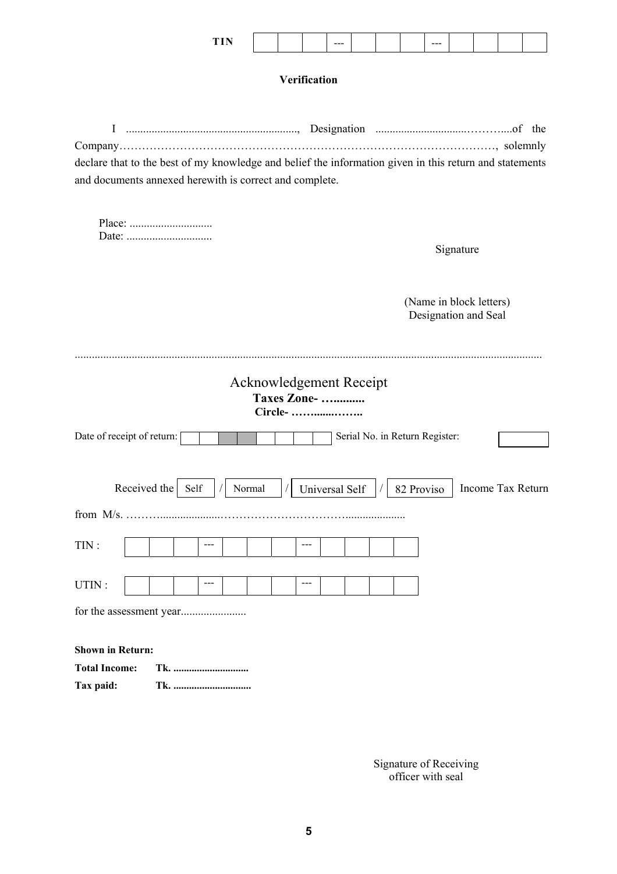| TIN<br>--<br>- |  | $- - -$ |  | ---<br>$- - -$ |  |  |
|----------------|--|---------|--|----------------|--|--|
|                |  |         |  |                |  |  |

## **Verification**

| I                                                                                                       |                                 |
|---------------------------------------------------------------------------------------------------------|---------------------------------|
|                                                                                                         |                                 |
| declare that to the best of my knowledge and belief the information given in this return and statements |                                 |
| and documents annexed herewith is correct and complete.                                                 |                                 |
|                                                                                                         |                                 |
|                                                                                                         |                                 |
|                                                                                                         |                                 |
|                                                                                                         | Signature                       |
|                                                                                                         |                                 |
|                                                                                                         |                                 |
|                                                                                                         | (Name in block letters)         |
|                                                                                                         | Designation and Seal            |
|                                                                                                         |                                 |
|                                                                                                         |                                 |
| <b>Acknowledgement Receipt</b>                                                                          |                                 |
| <b>Taxes Zone-</b>                                                                                      |                                 |
| Circle-                                                                                                 |                                 |
| Date of receipt of return:                                                                              | Serial No. in Return Register:  |
|                                                                                                         |                                 |
|                                                                                                         |                                 |
| Received the<br>Self<br>Normal<br><b>Universal Self</b>                                                 | Income Tax Return<br>82 Proviso |
|                                                                                                         |                                 |
|                                                                                                         |                                 |
| TIN:<br>---<br>$---$                                                                                    |                                 |
|                                                                                                         |                                 |
|                                                                                                         |                                 |
| UTIN:<br>$---$<br>$---$                                                                                 |                                 |
|                                                                                                         |                                 |

**Shown in Return: Total Income: Tk. ............................. Tax paid: Tk. ..............................** 

 Signature of Receiving officer with seal